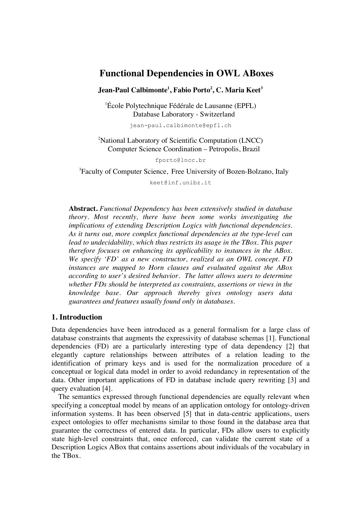# **Functional Dependencies in OWL ABoxes**

**Jean-Paul Calbimonte1 , Fabio Porto2 , C. Maria Keet3**

1 École Polytechnique Fédérale de Lausanne (EPFL) Database Laboratory - Switzerland

jean-paul.calbimonte@epfl.ch

<sup>2</sup>National Laboratory of Scientific Computation (LNCC) Computer Science Coordination – Petropolis, Brazil

fporto@lncc.br

3 Faculty of Computer Science, Free University of Bozen-Bolzano, Italy

keet@inf.unibz.it

**Abstract.** *Functional Dependency has been extensively studied in database theory. Most recently, there have been some works investigating the implications of extending Description Logics with functional dependencies. As it turns out, more complex functional dependencies at the type-level can lead to undecidability, which thus restricts its usage in the TBox. This paper therefore focuses on enhancing its applicability to instances in the ABox. We specify 'FD' as a new constructor, realized as an OWL concept. FD instances are mapped to Horn clauses and evaluated against the ABox according to user's desired behavior. The latter allows users to determine whether FDs should be interpreted as constraints, assertions or views in the knowledge base. Our approach thereby gives ontology users data guarantees and features usually found only in databases.*

# **1. Introduction**

Data dependencies have been introduced as a general formalism for a large class of database constraints that augments the expressivity of database schemas [1]. Functional dependencies (FD) are a particularly interesting type of data dependency [2] that elegantly capture relationships between attributes of a relation leading to the identification of primary keys and is used for the normalization procedure of a conceptual or logical data model in order to avoid redundancy in representation of the data. Other important applications of FD in database include query rewriting [3] and query evaluation [4].

The semantics expressed through functional dependencies are equally relevant when specifying a conceptual model by means of an application ontology for ontology-driven information systems. It has been observed [5] that in data-centric applications, users expect ontologies to offer mechanisms similar to those found in the database area that guarantee the correctness of entered data. In particular, FDs allow users to explicitly state high-level constraints that, once enforced, can validate the current state of a Description Logics ABox that contains assertions about individuals of the vocabulary in the TBox.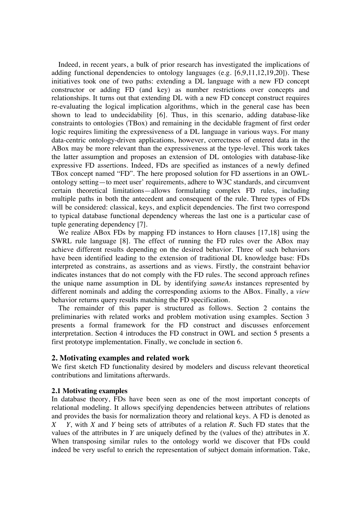Indeed, in recent years, a bulk of prior research has investigated the implications of adding functional dependencies to ontology languages (e.g. [6,9,11,12,19,20]). These initiatives took one of two paths: extending a DL language with a new FD concept constructor or adding FD (and key) as number restrictions over concepts and relationships. It turns out that extending DL with a new FD concept construct requires re-evaluating the logical implication algorithms, which in the general case has been shown to lead to undecidability [6]. Thus, in this scenario, adding database-like constraints to ontologies (TBox) and remaining in the decidable fragment of first order logic requires limiting the expressiveness of a DL language in various ways. For many data-centric ontology-driven applications, however, correctness of entered data in the ABox may be more relevant than the expressiveness at the type-level. This work takes the latter assumption and proposes an extension of DL ontologies with database-like expressive FD assertions. Indeed, FDs are specified as instances of a newly defined TBox concept named "FD". The here proposed solution for FD assertions in an OWLontology setting—to meet user' requirements, adhere to W3C standards, and circumvent certain theoretical limitations—allows formulating complex FD rules, including multiple paths in both the antecedent and consequent of the rule. Three types of FDs will be considered: classical, keys, and explicit dependencies. The first two correspond to typical database functional dependency whereas the last one is a particular case of tuple generating dependency [7].

We realize ABox FDs by mapping FD instances to Horn clauses [17,18] using the SWRL rule language [8]. The effect of running the FD rules over the ABox may achieve different results depending on the desired behavior. Three of such behaviors have been identified leading to the extension of traditional DL knowledge base: FDs interpreted as constrains, as assertions and as views. Firstly, the constraint behavior indicates instances that do not comply with the FD rules. The second approach refines the unique name assumption in DL by identifying *sameAs* instances represented by different nominals and adding the corresponding axioms to the ABox. Finally, a *view*  behavior returns query results matching the FD specification.

The remainder of this paper is structured as follows. Section 2 contains the preliminaries with related works and problem motivation using examples. Section 3 presents a formal framework for the FD construct and discusses enforcement interpretation. Section 4 introduces the FD construct in OWL and section 5 presents a first prototype implementation. Finally, we conclude in section 6.

# **2. Motivating examples and related work**

We first sketch FD functionality desired by modelers and discuss relevant theoretical contributions and limitations afterwards.

# **2.1 Motivating examples**

In database theory, FDs have been seen as one of the most important concepts of relational modeling. It allows specifying dependencies between attributes of relations and provides the basis for normalization theory and relational keys. A FD is denoted as *X Y*, with *X* and *Y* being sets of attributes of a relation *R*. Such FD states that the values of the attributes in *Y* are uniquely defined by the (values of the) attributes in *X*. When transposing similar rules to the ontology world we discover that FDs could indeed be very useful to enrich the representation of subject domain information. Take,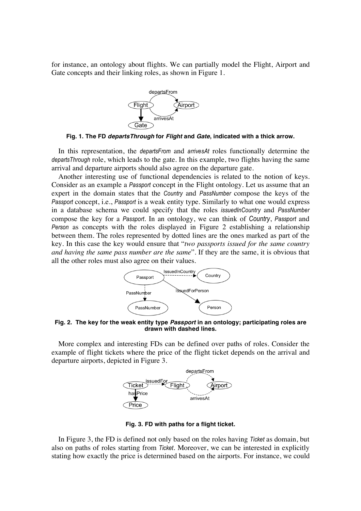for instance, an ontology about flights. We can partially model the Flight, Airport and Gate concepts and their linking roles, as shown in Figure 1.



**Fig. 1. The FD** *departsThrough* **for** *Flight* **and** *Gate***, indicated with a thick arrow.**

In this representation, the *departsFrom* and *arrivesAt* roles functionally determine the *departsThrough* role, which leads to the gate. In this example, two flights having the same arrival and departure airports should also agree on the departure gate.

Another interesting use of functional dependencies is related to the notion of keys. Consider as an example a *Passport* concept in the Flight ontology. Let us assume that an expert in the domain states that the *Country* and *PassNumber* compose the keys of the *Passport* concept, i.e., *Passport* is a weak entity type. Similarly to what one would express in a database schema we could specify that the roles *issuedInCountry* and *PassNumber* compose the key for a *Passport*. In an ontology, we can think of *Country*, *Passport* and *Person* as concepts with the roles displayed in Figure 2 establishing a relationship between them. The roles represented by dotted lines are the ones marked as part of the key. In this case the key would ensure that "*two passports issued for the same country and having the same pass number are the same*". If they are the same, it is obvious that all the other roles must also agree on their values.



**Fig. 2. The key for the weak entity type** *Passport* **in an ontology; participating roles are drawn with dashed lines.**

More complex and interesting FDs can be defined over paths of roles. Consider the example of flight tickets where the price of the flight ticket depends on the arrival and departure airports, depicted in Figure 3.



**Fig. 3. FD with paths for a flight ticket.**

In Figure 3, the FD is defined not only based on the roles having *Ticket* as domain, but also on paths of roles starting from *Ticket*. Moreover, we can be interested in explicitly stating how exactly the price is determined based on the airports. For instance, we could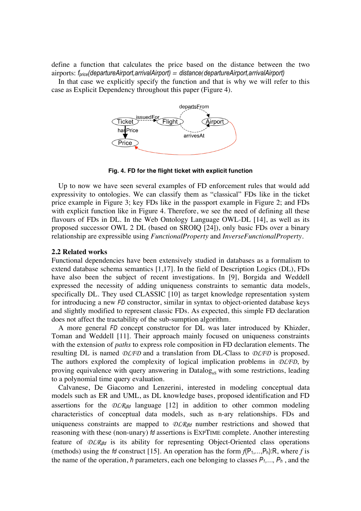define a function that calculates the price based on the distance between the two airports: *fprice(departureAirport,arrivalAirport) = distance(departureAirport,arrivalAirport)*

In that case we explicitly specify the function and that is why we will refer to this case as Explicit Dependency throughout this paper (Figure 4).



**Fig. 4. FD for the flight ticket with explicit function**

Up to now we have seen several examples of FD enforcement rules that would add expressivity to ontologies. We can classify them as "classical" FDs like in the ticket price example in Figure 3; key FDs like in the passport example in Figure 2; and FDs with explicit function like in Figure 4. Therefore, we see the need of defining all these flavours of FDs in DL. In the Web Ontology Language OWL-DL [14], as well as its proposed successor OWL 2 DL (based on SROIQ [24]), only basic FDs over a binary relationship are expressible using *FunctionalProperty* and *InverseFunctionalProperty.*

#### **2.2 Related works**

Functional dependencies have been extensively studied in databases as a formalism to extend database schema semantics [1,17]. In the field of Description Logics (DL), FDs have also been the subject of recent investigations. In [9], Borgida and Weddell expressed the necessity of adding uniqueness constraints to semantic data models, specifically DL. They used CLASSIC [10] as target knowledge representation system for introducing a new *FD* constructor, similar in syntax to object-oriented database keys and slightly modified to represent classic FDs. As expected, this simple FD declaration does not affect the tractability of the sub-sumption algorithm.

A more general *FD* concept constructor for DL was later introduced by Khizder, Toman and Weddell [11]. Their approach mainly focused on uniqueness constraints with the extension of *paths* to express role composition in FD declaration elements. The resulting DL is named *DLFD* and a translation from DL-Class to *DLFD* is proposed. The authors explored the complexity of logical implication problems in *DLFD*, by proving equivalence with query answering in  $Datalog_{\text{ns}}$  with some restrictions, leading to a polynomial time query evaluation.

Calvanese, De Giacomo and Lenzerini, interested in modeling conceptual data models such as ER and UML, as DL knowledge bases, proposed identification and FD assertions for the  $DLR_{ifd}$  language [12] in addition to other common modeling characteristics of conceptual data models, such as n-ary relationships. FDs and uniqueness constraints are mapped to  $DLR_{ind}$  number restrictions and showed that reasoning with these (non-unary) *fd* assertions is EXPTIME complete. Another interesting feature of *DLR*ifd is its ability for representing Object-Oriented class operations (methods) using the *fd* construct [15]. An operation has the form  $f(P_1,...,P_h):R$ , where *f* is the name of the operation, *h* parameters, each one belonging to classes  $P_1, ..., P_h$ , and the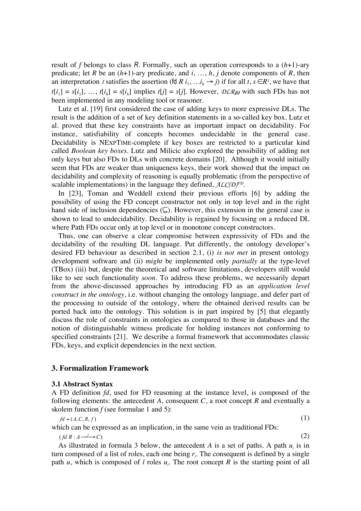result of *f* belongs to class *R*. Formally, such an operation corresponds to a (*h*+1)-ary predicate; let *R* be an (*h*+1)-ary predicate, and *i*, …, *h*, *j* denote components of *R*, then an interpretation *I* satisfies the assertion (fd *R*  $i_1, \ldots, i_h \rightarrow j$ ) if for all  $t, s \in R^I$ , we have that  $t[i_1] = s[i_1], \ldots, t[i_h] = s[i_h]$  implies  $t[j] = s[j]$ . However, *DLR*<sub>ifd</sub> with such FDs has not been implemented in any modeling tool or reasoner.

Lutz et al. [19] first considered the case of adding keys to more expressive DLs. The result is the addition of a set of key definition statements in a so-called key box. Lutz et al. proved that these key constraints have an important impact on decidability. For instance, satisfiability of concepts becomes undecidable in the general case. Decidability is NEXPTIME-complete if key boxes are restricted to a particular kind called *Boolean key boxes*. Lutz and Milicic also explored the possibility of adding not only keys but also FDs to DLs with concrete domains [20]. Although it would initially seem that FDs are weaker than uniqueness keys, their work showed that the impact on decidability and complexity of reasoning is equally problematic (from the perspective of scalable implementations) in the language they defined, *ALC(D)FD*.

In [23], Toman and Weddell extend their previous efforts [6] by adding the possibility of using the FD concept constructor not only in top level and in the right hand side of inclusion dependencies  $(\subseteq)$ . However, this extension in the general case is shown to lead to undecidability. Decidability is regained by focusing on a reduced DL where Path FDs occur only at top level or in monotone concept constructors.

Thus, one can observe a clear compromise between expressivity of FDs and the decidability of the resulting DL language. Put differently, the ontology developer's desired FD behaviour as described in section 2.1, (i) *is not met* in present ontology development software and (ii) *might* be implemented only *partially* at the type-level (TBox) (iii) but, despite the theoretical and software limitations, developers still would like to see such functionality *soon*. To address these problems, we necessarily depart from the above-discussed approaches by introducing FD as an *application level construct in the ontology*, i.e. without changing the ontology language, and defer part of the processing to outside of the ontology, where the obtained derived results can be ported back into the ontology. This solution is in part inspired by [5] that elegantly discuss the role of constraints in ontologies as compared to those in databases and the notion of distinguishable witness predicate for holding instances not conforming to specified constraints [21]. We describe a formal framework that accommodates classic FDs, keys, and explicit dependencies in the next section.

### **3. Formalization Framework**

#### **3.1 Abstract Syntax**

A FD definition *fd*, used for FD reasoning at the instance level, is composed of the following elements: the antecedent  $A$ , consequent  $C$ , a root concept  $R$  and eventually a skolem function  $f$  (see formulae 1 and 5):

$$
fd = (A, C, R, f) \tag{1}
$$

which can be expressed as an implication, in the same vein as traditional FDs:

 $(fdR: A \rightarrow C)$  $\rightarrow$  (2)

As illustrated in formula 3 below, the antecedent  $A$  is a set of paths. A path  $u_i$  is in turn composed of a list of roles, each one being  $r_i$ . The consequent is defined by a single path *u*, which is composed of *l* roles  $u_i$ . The root concept *R* is the starting point of all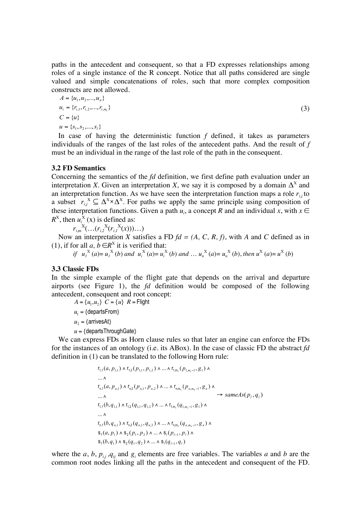paths in the antecedent and consequent, so that a FD expresses relationships among roles of a single instance of the R concept. Notice that all paths considered are single valued and simple concatenations of roles, such that more complex composition constructs are not allowed.

$$
A = \{u_1, u_2, ..., u_n\}
$$
  
\n
$$
u_i = \{r_{i,1}, r_{i,2}, ..., r_{i,m_i}\}
$$
  
\n
$$
C = \{u\}
$$
  
\n
$$
u = \{s_1, s_2, ..., s_i\}
$$
\n(3)

In case of having the deterministic function *f* defined, it takes as parameters individuals of the ranges of the last roles of the antecedent paths. And the result of *f* must be an individual in the range of the last role of the path in the consequent.

#### **3.2 FD Semantics**

Concerning the semantics of the *fd* definition, we first define path evaluation under an interpretation *X*. Given an interpretation *X*, we say it is composed by a domain  $\Delta^X$  and an interpretation function. As we have seen the interpretation function maps a role  $r_{i,j}$  to a subset  $r_{i,j}^X \subseteq \Delta^X \times \Delta^X$ . For paths we apply the same principle using composition of these interpretation functions. Given a path  $u_i$ , a concept R and an individual x, with  $x \in$  $R^X$ , then  $u_i^X(x)$  is defined as:

 $r_{i,m}^{X}(\ldots(r_{i,2}^{X}(r_{i,1}^{X}(x)))\ldots)$ 

Now an interpretation *X* satisfies a FD *fd = (A, C, R, f)*, with *A* and *C* defined as in (1), if for all *a*,  $b \in R^X$  it is verified that:

if  $u_1^X(a) = u_1^X(b)$  and  $u_i^X(a) = u_i^X(b)$  and ...  $u_n^X(a) = u_n^X(b)$ , then  $u^X(a) = u^X(b)$ 

# **3.3 Classic FDs**

In the simple example of the flight gate that depends on the arrival and departure airports (see Figure 1), the *fd* definition would be composed of the following antecedent, consequent and root concept:

 $A = \{u_1, u_2\}$   $C = \{u\}$   $R =$  Flight

 $u_1 = \{ \text{departsFrom} \}$ 

 $u_2 =$ {arrivesAt}

*u* = {departsThroughGate}

definition in (1) can be translated to the following Horn rule: We can express FDs as Horn clause rules so that later an engine can enforce the FDs for the instances of an ontology (i.e. its ABox). In the case of classic FD the abstract *fd*

$$
r_{1,1}(a, p_{1,1}) \wedge r_{1,2}(p_{1,1}, p_{1,2}) \wedge ... \wedge r_{1,m_1}(p_{1,m_1-1}, g_1) \wedge
$$
  
\n...  $\wedge$   
\n
$$
r_{n,1}(a, p_{n,1}) \wedge r_{n,2}(p_{n,1}, p_{n,2}) \wedge ... \wedge r_{n,m_n}(p_{n,m_n-1}, g_n) \wedge
$$
  
\n...  $\wedge$   
\n...  $\wedge$   
\n
$$
r_{1,1}(b, q_{1,1}) \wedge r_{1,2}(q_{1,1}, q_{1,2}) \wedge ... \wedge r_{1,m_1}(q_{1,m_1-1}, g_1) \wedge
$$
  
\n...  $\wedge$   
\n
$$
r_{n,1}(b, q_{n,1}) \wedge r_{n,2}(q_{n,1}, q_{n,2}) \wedge ... \wedge r_{n,m_n}(q_{n,m_n-1}, g_n) \wedge
$$
  
\n
$$
s_1(a, p_1) \wedge s_2(p_1, p_2) \wedge ... \wedge s_1(p_{l-1}, p_l) \wedge
$$
  
\n
$$
s_1(b, q_1) \wedge s_2(q_1, q_2) \wedge ... \wedge s_1(q_{l-1}, q_l)
$$

where the *a*, *b*,  $p_{ij}$ ,  $q_{ij}$  and  $g_i$  elements are free variables. The variables *a* and *b* are the common root nodes linking all the paths in the antecedent and consequent of the FD.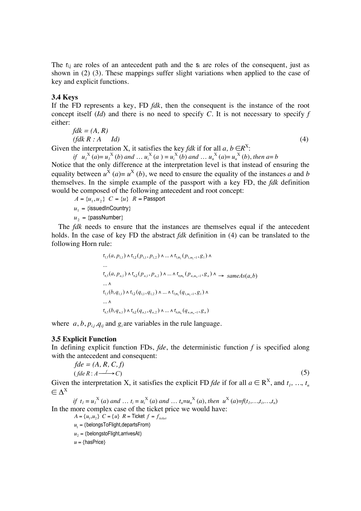The  $r_{i,j}$  are roles of an antecedent path and the  $s_i$  are roles of the consequent, just as shown in (2) (3). These mappings suffer slight variations when applied to the case of key and explicit functions.

### **3.4 Keys**

If the FD represents a key, FD *fdk*, then the consequent is the instance of the root concept itself (*Id*) and there is no need to specify *C*. It is not necessary to specify *f* either:

$$
fdk = (A, R)
$$
  
( $fdk R : A \quad Id$ ) (4)

Given the interpretation X, it satisfies the key *fdk* if for all  $a, b \in R^X$ :

*if*  $u_1^X(a) = u_1^X(b)$  *and* …  $u_i^X(a) = u_i^X(b)$  *and* …  $u_n^X(a) = u_n^X(b)$ , *then*  $a = b$ Notice that the only difference at the interpretation level is that instead of ensuring the equality between  $u^X$  (*a*)=  $u^X$  (*b*), we need to ensure the equality of the instances *a* and *b* themselves. In the simple example of the passport with a key FD, the *fdk* definition would be composed of the following antecedent and root concept:

 $A = \{u_1, u_2\}$   $C = \{u\}$   $R =$  Passport

 $u_1 = \{\text{isuedlnCountry}\}$ 

 $u_2 = \{\text{passNumber}\}\$ 

The *fdk* needs to ensure that the instances are themselves equal if the antecedent holds. In the case of key FD the abstract *fdk* definition in (4) can be translated to the following Horn rule:

$$
r_{1,1}(a, p_{1,1}) \wedge r_{1,2}(p_{1,1}, p_{1,2}) \wedge ... \wedge r_{1,m_1}(p_{1,m_1-1}, g_1) \wedge
$$
  
\n...  
\n
$$
r_{n,1}(a, p_{n,1}) \wedge r_{n,2}(p_{n,1}, p_{n,2}) \wedge ... \wedge r_{n,m_n}(p_{n,m_n-1}, g_n) \wedge \rightarrow sameAs(a, b)
$$
  
\n...  $\wedge$   
\n
$$
r_{1,1}(b, q_{1,1}) \wedge r_{1,2}(q_{1,1}, q_{1,2}) \wedge ... \wedge r_{1,m_1}(q_{1,m_1-1}, g_1) \wedge
$$
  
\n...  $\wedge$   
\n
$$
r_{n,1}(b, q_{n,1}) \wedge r_{n,2}(q_{n,1}, q_{n,2}) \wedge ... \wedge r_{n,m_n}(q_{n,m_n-1}, g_n)
$$

where  $a, b, p_{ij}, q_{ji}$  and  $g_i$  are variables in the rule language.

### **3.5 Explicit Function**

In defining explicit function FDs, *fde*, the deterministic function *f* is specified along with the antecedent and consequent:

$$
fde = (A, R, C, f)
$$
  
(*fde R*:  $A \xrightarrow{f} C$ ) (5)

Given the interpretation X, it satisfies the explicit FD *fde* if for all  $a \in \mathbb{R}^X$ , and  $t_1, ..., t_n$  $\subset \Lambda^X$ 

*if*  $t_1 = u_1^X(a)$  *and*  $\ldots$   $t_i = u_i^X(a)$  *and*  $\ldots$   $t_n = u_n^X(a)$ , *then*  $u^X(a) = f(t_1, \ldots, t_i, \ldots, t_n)$ In the more complex case of the ticket price we would have:

 $u = \{hasPrice\}$  $A = \{u_1, u_2\}$   $C = \{u\}$   $R =$  Ticket  $f = f_{\text{ا}/\text{c}}$  $u_1 = \{belongsToFlight, departsFrom\}$  $u_2 = \{belongstoflight, arrivesAt\}$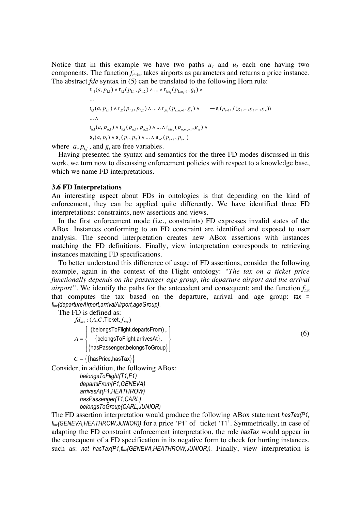Notice that in this example we have two paths  $u_1$  and  $u_2$  each one having two components. The function  $f_{\text{nicket}}$  takes airports as parameters and returns a price instance. The abstract *fde* syntax in (5) can be translated to the following Horn rule:

$$
r_{1,1}(a, p_{1,1}) \wedge r_{1,2}(p_{1,1}, p_{1,2}) \wedge ... \wedge r_{1,m_1}(p_{1,m_1-1}, g_1) \wedge
$$
  
\n...\n
$$
r_{1,1}(a, p_{1,1}) \wedge r_{1,2}(p_{1,1}, p_{1,2}) \wedge ... \wedge r_{1,m_1}(p_{1,m_1-1}, g_1) \wedge \cdots \wedge s_1(p_{l-1}, f(g_1,...,g_l,...,g_n))
$$
  
\n...\n
$$
r_{n,1}(a, p_{n,1}) \wedge r_{n,2}(p_{n,1}, p_{n,2}) \wedge ... \wedge r_{n,m_n}(p_{n,m_n-1}, g_n) \wedge
$$
  
\n
$$
s_1(a, p_1) \wedge s_2(p_1, p_2) \wedge ... \wedge s_{1-1}(p_{l-2}, p_{l-1})
$$

where  $a, p_{ij}$ , and  $g_i$  are free variables.

Having presented the syntax and semantics for the three FD modes discussed in this work, we turn now to discussing enforcement policies with respect to a knowledge base, which we name FD interpretations.

#### **3.6 FD Interpretations**

An interesting aspect about FDs in ontologies is that depending on the kind of enforcement, they can be applied quite differently. We have identified three FD interpretations: constraints, new assertions and views.

In the first enforcement mode (i.e., constraints) FD expresses invalid states of the ABox. Instances conforming to an FD constraint are identified and exposed to user analysis. The second interpretation creates new ABox assertions with instances matching the FD definitions. Finally, view interpretation corresponds to retrieving instances matching FD specifications.

To better understand this difference of usage of FD assertions, consider the following example, again in the context of the Flight ontology: *"The tax on a ticket price functionally depends on the passenger age-group, the departure airport and the arrival airport*". We identify the paths for the antecedent and consequent; and the function  $f_{\text{tar}}$ that computes the tax based on the departure, arrival and age group: *tax = ftax(departureAirport,arrivalAirport,ageGroup).*

The FD is defined as:

 $fd_{\text{tax}}$  :  $(A, C, \text{Ticket}, f_{\text{tax}})$ *A* = {belongsToFlight,departsFrom},  $\{$ belongsToFlight,arrivesAt $\},$ {hasPassenger,belongsToGroup}  $\int$  $\int$  $\overline{\mathcal{L}}$ &  $\bigg\}$  $\int$ 

```
C = \{ \{\text{hasPrice}, \text{hasTax}\} \}
```
Consider, in addition, the following ABox:

```
belongsToFlight(T1,F1)
departsFrom(F1,GENEVA)
arrivesAt(F1,HEATHROW)
hasPassenger(T1,CARL)
belongsToGroup(CARL,JUNIOR)
```
The FD assertion interpretation would produce the following ABox statement *hasTax(P1, ftax(GENEVA,HEATHROW,JUNIOR))* for a price 'P1' of ticket 'T1'. Symmetrically, in case of adapting the FD constraint enforcement interpretation, the role *hasTax* would appear in the consequent of a FD specification in its negative form to check for hurting instances, such as: *not hasTax(P1,f<sub>tax</sub>(GENEVA,HEATHROW,JUNIOR)*). Finally, view interpretation is

(6)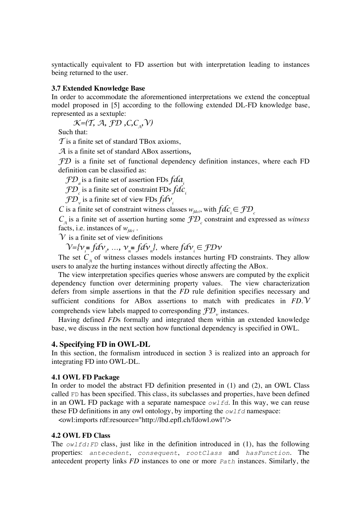syntactically equivalent to FD assertion but with interpretation leading to instances being returned to the user.

### **3.7 Extended Knowledge Base**

In order to accommodate the aforementioned interpretations we extend the conceptual model proposed in [5] according to the following extended DL-FD knowledge base, represented as a sextuple:

 $K=(\mathcal{T}, \mathcal{A}, \mathcal{FD}, C, C_{\alpha}, \mathcal{V})$ 

Such that:

*T* is a finite set of standard TBox axioms,

*A* is a finite set of standard ABox assertions*,*

*FD* is a finite set of functional dependency definition instances, where each FD definition can be classified as:

*FD*<sub>a</sub> is a finite set of assertion FDs *fda*<sub>*i*</sub>

 $\mathcal{FD}_c$  is a finite set of constraint FDs  $fdc_i^c$ 

 $\mathcal{FD}_\mathrm{v}$  is a finite set of view FDs  $f\mathcal{d}\boldsymbol{\nu}_i$ 

*C* is a finite set of constraint witness classes  $w_{\text{fdci}}$ , with  $\hat{fdc} \in \mathcal{FD}$ 

 $C_A$  is a finite set of assertion hurting some  $fD_c$  constraint and expressed as *witness* facts, i.e. instances of  $w_{\text{fdci}}$ .

 $\mathcal V$  is a finite set of view definitions

 $\mathcal{V} = \{v_{i} \equiv f d v_{i}, \ldots, v_{n} \equiv f d v_{n} \}$ , where  $f d v_{i} \in f D v_{i}$ 

The set  $C_a$  of witness classes models instances hurting FD constraints. They allow users to analyze the hurting instances without directly affecting the ABox.

The view interpretation specifies queries whose answers are computed by the explicit dependency function over determining property values. The view characterization defers from simple assertions in that the *FD* rule definition specifies necessary and sufficient conditions for ABox assertions to match with predicates in *FD*.*V* comprehends view labels mapped to corresponding  $fD_{y}$  instances.

Having defined *FD*s formally and integrated them within an extended knowledge base, we discuss in the next section how functional dependency is specified in OWL.

#### **4. Specifying FD in OWL-DL**

In this section, the formalism introduced in section 3 is realized into an approach for integrating FD into OWL-DL.

### **4.1 OWL FD Package**

In order to model the abstract FD definition presented in (1) and (2), an OWL Class called FD has been specified. This class, its subclasses and properties, have been defined in an OWL FD package with a separate namespace *owlfd*. In this way, we can reuse these FD definitions in any owl ontology, by importing the *owlfd* namespace:

<owl:imports rdf:resource="http://lbd.epfl.ch/fdowl.owl"/>

#### **4.2 OWL FD Class**

The *owlfd:FD* class, just like in the definition introduced in (1), has the following properties: *antecedent*, *consequent*, *rootClass* and *hasFunction*. The antecedent property links *FD* instances to one or more *Path* instances. Similarly, the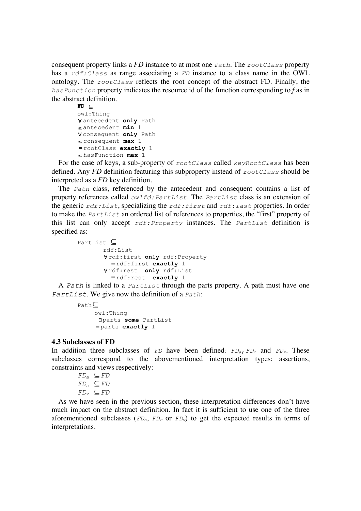consequent property links a *FD* instance to at most one *Path*. The *rootClass* property has a *rdf:Class* as range associating a *FD* instance to a class name in the OWL ontology. The *rootClass* reflects the root concept of the abstract FD. Finally, the *hasFunction* property indicates the resource id of the function corresponding to *f* as in the abstract definition.

```
FD \subseteqowl:Thing 
Vantecedent only Path
! antecedent min 1
! consequent only Path
! consequent max 1
= rootClass exactly 1
! hasFunction max 1
```
For the case of keys, a sub-property of *rootClass* called *keyRootClass* has been defined. Any *FD* definition featuring this subproperty instead of *rootClass* should be interpreted as a *FD* key definition.

The *Path* class, referenced by the antecedent and consequent contains a list of property references called *owlfd:PartList*. The *PartList* class is an extension of the generic *rdf:List*, specializing the *rdf:first* and *rdf:last* properties. In order to make the *PartList* an ordered list of references to properties, the "first" property of this list can only accept *rdf:Property* instances. The *PartList* definition is specified as:

```
PartList \subseteqrdf:List
       ! rdf:first only rdf:Property
          = rdf:first exactly 1
       ! rdf:rest only rdf:List
          = rdf:rest exactly 1
```
A *Path* is linked to a *PartList* through the parts property. A path must have one *PartList*. We give now the definition of a *Path*:

```
Path<sup>C</sup>
     owl:Thing
      !parts some PartList
      = parts exactly 1
```
### **4.3 Subclasses of FD**

In addition three subclasses of *FD* have been defined:  $FD_a$ ,  $FD_c$  and  $FD_v$ . These subclasses correspond to the abovementioned interpretation types: assertions, constraints and views respectively:

$$
FD_a \subseteq FD
$$
  

$$
FD_c \subseteq FD
$$
  

$$
FD_v \subseteq FD
$$

As we have seen in the previous section, these interpretation differences don't have much impact on the abstract definition. In fact it is sufficient to use one of the three aforementioned subclasses ( $FD_a$ ,  $FD_c$  or  $FD_v$ ) to get the expected results in terms of interpretations.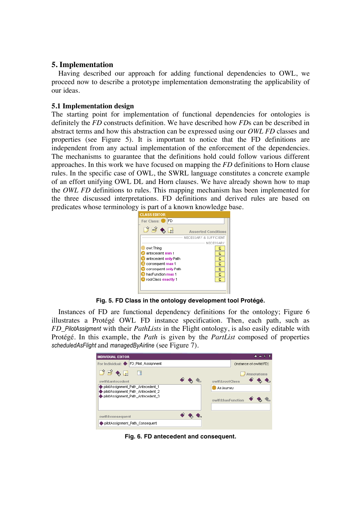# **5. Implementation**

Having described our approach for adding functional dependencies to OWL, we proceed now to describe a prototype implementation demonstrating the applicability of our ideas.

# **5.1 Implementation design**

The starting point for implementation of functional dependencies for ontologies is definitely the *FD* constructs definition. We have described how *FD*s can be described in abstract terms and how this abstraction can be expressed using our *OWL FD* classes and properties (see Figure 5). It is important to notice that the FD definitions are independent from any actual implementation of the enforcement of the dependencies. The mechanisms to guarantee that the definitions hold could follow various different approaches. In this work we have focused on mapping the *FD* definitions to Horn clause rules. In the specific case of OWL, the SWRL language constitutes a concrete example of an effort unifying OWL DL and Horn clauses. We have already shown how to map the *OWL FD* definitions to rules. This mapping mechanism has been implemented for the three discussed interpretations. FD definitions and derived rules are based on predicates whose terminology is part of a known knowledge base.



**Fig. 5. FD Class in the ontology development tool Protégé.**

Instances of FD are functional dependency definitions for the ontology; Figure 6 illustrates a Protégé OWL FD instance specification. Then, each path, such as *FD\_PilotAssigment* with their *PathLists* in the Flight ontology, is also easily editable with Protégé. In this example, the *Path* is given by the *PartList* composed of properties *scheduledAsFlight* and *managedByAirline* (see Figure 7).

| <b>INDIVIDUAL EDITOR</b>                                               |                   |                        | $+ - F$ T |
|------------------------------------------------------------------------|-------------------|------------------------|-----------|
| FD Pilot Assignment<br>For Individual: ♦                               |                   | (instance of owlfd:FD) |           |
| 國<br>$\bullet$ $\boxtimes$                                             |                   | <b>Annotations</b>     |           |
| owlfd:antecedent                                                       | owlfd:rootClass   |                        |           |
| pilotAssignment Path Antecedent 1<br>pilotAssignment_Path_Antecedent_2 | AirJourney        |                        |           |
| pilotAssignment Path Antecedent 3                                      | owlfd:hasFunction |                        |           |
|                                                                        |                   |                        |           |
| owlfd:consequent                                                       |                   |                        |           |
| pilotAssignment_Path_Consequent                                        |                   |                        |           |
|                                                                        |                   |                        |           |

**Fig. 6. FD antecedent and consequent.**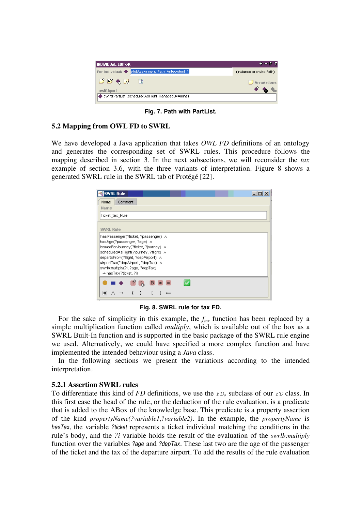| <b>INDIVIDUAL EDITOR</b>                                             | $+$ = F T                     |
|----------------------------------------------------------------------|-------------------------------|
| pilotAssignment_Path_Antecedent_1<br>For Individual: $\blacklozenge$ | (instance of owlfd:Path)      |
| $D$ $\bullet$ $\bullet$                                              | $\sqrt{\mathsf{An}}$ ndations |
| owlfd:part<br>◆ owlfd:PartList (scheduledAsFlight, managedByAirline) |                               |

**Fig. 7. Path with PartList.**

# **5.2 Mapping from OWL FD to SWRL**

We have developed a Java application that takes *OWL FD* definitions of an ontology and generates the corresponding set of SWRL rules. This procedure follows the mapping described in section 3. In the next subsections, we will reconsider the *tax* example of section 3.6, with the three variants of interpretation. Figure 8 shows a generated SWRL rule in the SWRL tab of Protégé [22].

| <b>SWRL Rule</b>                                                                                                                                                                                                                                        | - 미 × |
|---------------------------------------------------------------------------------------------------------------------------------------------------------------------------------------------------------------------------------------------------------|-------|
| Comment<br>Name                                                                                                                                                                                                                                         |       |
| Name                                                                                                                                                                                                                                                    |       |
| Ticket tax Rule                                                                                                                                                                                                                                         |       |
|                                                                                                                                                                                                                                                         |       |
| <b>SWRL Rule</b>                                                                                                                                                                                                                                        |       |
| hasAge(?passenger,?age) A<br>issuedForJourney(?ticket, ?journey) ∧<br>scheduledAsFlight(?journey, ?flight) A<br>departsFrom(?flight, ?depAirport) ∧<br>airportTax(?depAirport, ?depTax) ∧<br>swrlb:multiply(?i, ?age, ?depTax)<br>→ hasTax∩?ticket. ?i) |       |
| 읽<br>в<br>Ξ<br>$\neq$<br>甲                                                                                                                                                                                                                              |       |
|                                                                                                                                                                                                                                                         |       |

**Fig. 8. SWRL rule for tax FD.**

For the sake of simplicity in this example, the  $f_{\text{tax}}$  function has been replaced by a simple multiplication function called *multiply*, which is available out of the box as a SWRL Built-In function and is supported in the basic package of the SWRL rule engine we used. Alternatively, we could have specified a more complex function and have implemented the intended behaviour using a *Java* class.

In the following sections we present the variations according to the intended interpretation.

# **5.2.1 Assertion SWRL rules**

To differentiate this kind of *FD* definitions, we use the  $FD_a$  subclass of our *FD* class. In this first case the head of the rule, or the deduction of the rule evaluation, is a predicate that is added to the ABox of the knowledge base. This predicate is a property assertion of the kind *propertyName(?variable1,?variable2)*. In the example, the *propertyName* is *hasTax*, the variable *?ticket* represents a ticket individual matching the conditions in the rule's body, and the *?i* variable holds the result of the evaluation of the *swrlb:multiply* function over the variables *?age* and *?depTax*. These last two are the age of the passenger of the ticket and the tax of the departure airport. To add the results of the rule evaluation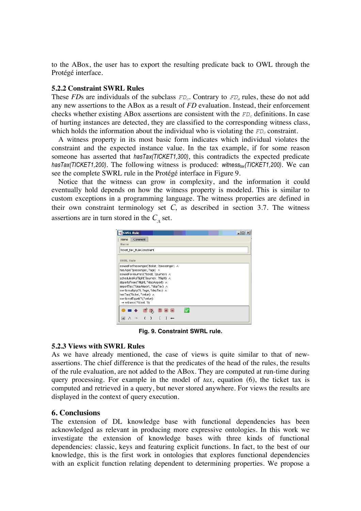to the ABox, the user has to export the resulting predicate back to OWL through the Protégé interface.

### **5.2.2 Constraint SWRL Rules**

These *FDs* are individuals of the subclass  $FD_c$ . Contrary to  $FD_a$  rules, these do not add any new assertions to the ABox as a result of *FD* evaluation. Instead, their enforcement checks whether existing ABox assertions are consistent with the  $FD<sub>c</sub>$  definitions. In case of hurting instances are detected, they are classified to the corresponding witness class, which holds the information about the individual who is violating the *FD<sub>c</sub>* constraint.

A witness property in its most basic form indicates which individual violates the constraint and the expected instance value. In the tax example, if for some reason someone has asserted that *hasTax(TICKET1,300)*, this contradicts the expected predicate *hasTax(TICKET1,200)*. The following witness is produced: *witnesstax(TICKET1,200)*. We can see the complete SWRL rule in the Protégé interface in Figure 9.

Notice that the witness can grow in complexity, and the information it could eventually hold depends on how the witness property is modeled. This is similar to custom exceptions in a programming language. The witness properties are defined in their own constraint terminology set  $C$ , as described in section 3.7. The witness assertions are in turn stored in the  $C<sub>a</sub>$  set.

| <b>SWRL Rule</b>                                                          |  |  |  |  |
|---------------------------------------------------------------------------|--|--|--|--|
| Comment<br>Name                                                           |  |  |  |  |
| Name                                                                      |  |  |  |  |
| Ticket tax RuleConstraint                                                 |  |  |  |  |
|                                                                           |  |  |  |  |
| <b>SWRL Rule</b>                                                          |  |  |  |  |
| issuedForPassenger(?ticket, ?passenger) A                                 |  |  |  |  |
| hasAge(?passenger,?age) A                                                 |  |  |  |  |
| issuedForJourney(?ticket, ?journey) A                                     |  |  |  |  |
| scheduledAsFlight(?journey, ?flight) A                                    |  |  |  |  |
| departsFrom(?flight, ?depAirport) A<br>airportTax(?depAirport, ?depTax) A |  |  |  |  |
| swrlb:multiply(?i, ?age, ?depTax) A                                       |  |  |  |  |
| hasTax(?ticket, ?value) A                                                 |  |  |  |  |
| swrlb:notEqual(?i,?value)                                                 |  |  |  |  |
| → witness(?ticket, ?i)                                                    |  |  |  |  |
| в<br>z.                                                                   |  |  |  |  |
|                                                                           |  |  |  |  |
| ⋕                                                                         |  |  |  |  |

**Fig. 9. Constraint SWRL rule.**

# **5.2.3 Views with SWRL Rules**

As we have already mentioned, the case of views is quite similar to that of newassertions. The chief difference is that the predicates of the head of the rules, the results of the rule evaluation, are not added to the ABox. They are computed at run-time during query processing. For example in the model of *tax*, equation (6), the ticket tax is computed and retrieved in a query, but never stored anywhere. For views the results are displayed in the context of query execution.

# **6. Conclusions**

The extension of DL knowledge base with functional dependencies has been acknowledged as relevant in producing more expressive ontologies. In this work we investigate the extension of knowledge bases with three kinds of functional dependencies: classic, keys and featuring explicit functions. In fact, to the best of our knowledge, this is the first work in ontologies that explores functional dependencies with an explicit function relating dependent to determining properties. We propose a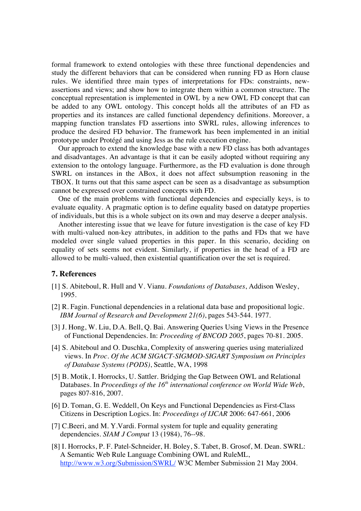formal framework to extend ontologies with these three functional dependencies and study the different behaviors that can be considered when running FD as Horn clause rules. We identified three main types of interpretations for FDs: constraints, newassertions and views; and show how to integrate them within a common structure. The conceptual representation is implemented in OWL by a new OWL FD concept that can be added to any OWL ontology. This concept holds all the attributes of an FD as properties and its instances are called functional dependency definitions. Moreover, a mapping function translates FD assertions into SWRL rules, allowing inferences to produce the desired FD behavior. The framework has been implemented in an initial prototype under Protégé and using Jess as the rule execution engine.

Our approach to extend the knowledge base with a new FD class has both advantages and disadvantages. An advantage is that it can be easily adopted without requiring any extension to the ontology language. Furthermore, as the FD evaluation is done through SWRL on instances in the ABox, it does not affect subsumption reasoning in the TBOX. It turns out that this same aspect can be seen as a disadvantage as subsumption cannot be expressed over constrained concepts with FD.

One of the main problems with functional dependencies and especially keys, is to evaluate equality. A pragmatic option is to define equality based on datatype properties of individuals, but this is a whole subject on its own and may deserve a deeper analysis.

Another interesting issue that we leave for future investigation is the case of key FD with multi-valued non-key attributes, in addition to the paths and FDs that we have modeled over single valued properties in this paper. In this scenario, deciding on equality of sets seems not evident. Similarly, if properties in the head of a FD are allowed to be multi-valued, then existential quantification over the set is required.

#### **7. References**

- [1] S. Abiteboul, R. Hull and V. Vianu. *Foundations of Databases*, Addison Wesley, 1995.
- [2] R. Fagin. Functional dependencies in a relational data base and propositional logic. *IBM Journal of Research and Development 21(6)*, pages 543-544. 1977.
- [3] J. Hong, W. Liu, D.A. Bell, Q. Bai. Answering Queries Using Views in the Presence of Functional Dependencies*.* In: *Proceeding of BNCOD 2005*, pages 70-81. 2005.
- [4] S. Abiteboul and O. Duschka, Complexity of answering queries using materialized views. In *Proc. Of the ACM SIGACT-SIGMOD-SIGART Symposium on Principles of Database Systems (PODS)*, Seattle, WA, 1998
- [5] B. Motik, I. Horrocks, U. Sattler. Bridging the Gap Between OWL and Relational Databases. In *Proceedings of the 16<sup>th</sup> international conference on World Wide Web*, pages 807-816, 2007.
- [6] D. Toman, G. E. Weddell, On Keys and Functional Dependencies as First-Class Citizens in Description Logics. In: *Proceedings of IJCAR* 2006: 647-661, 2006
- [7] C.Beeri, and M. Y.Vardi. Formal system for tuple and equality generating dependencies. *SIAM J Comput* 13 (1984), 76--98.
- [8] I. Horrocks, P. F. Patel-Schneider, H. Boley, S. Tabet, B. Grosof, M. Dean. SWRL: A Semantic Web Rule Language Combining OWL and RuleML, http://www.w3.org/Submission/SWRL/W3C Member Submission 21 May 2004.